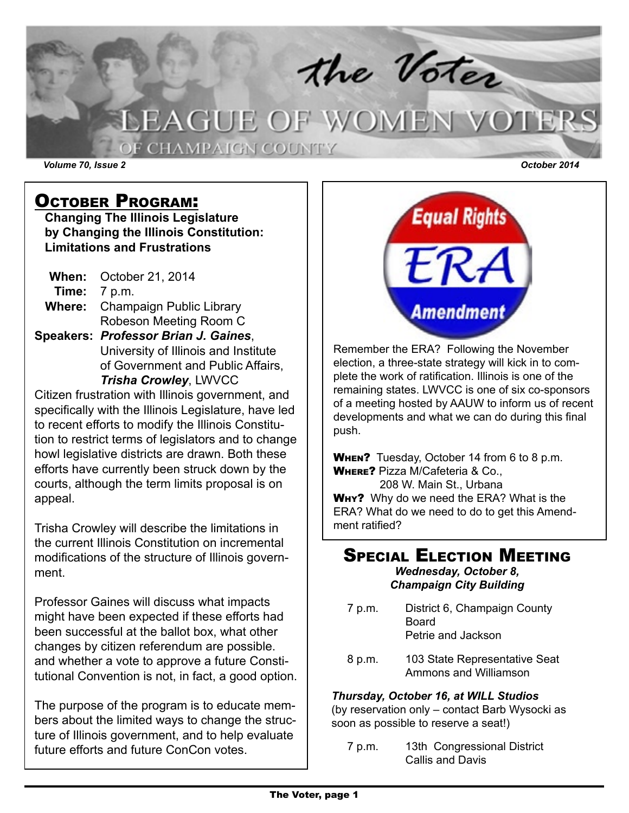the Voter<br>LEAGUE OF WOMEN VOTERS OF CHAMPAIGN COUNTY *Volume 70, Issue 2 October 2014*

October Program:

**Changing The Illinois Legislature by Changing the Illinois Constitution: Limitations and Frustrations**

**When:** October 21, 2014 **Time:** 7 p.m. **Where:** Champaign Public Library Robeson Meeting Room C **Speakers:** *Professor Brian J. Gaines*,

 University of Illinois and Institute of Government and Public Affairs, *Trisha Crowley*, LWVCC

Citizen frustration with Illinois government, and specifically with the Illinois Legislature, have led to recent efforts to modify the Illinois Constitution to restrict terms of legislators and to change howl legislative districts are drawn. Both these efforts have currently been struck down by the courts, although the term limits proposal is on appeal.

Trisha Crowley will describe the limitations in the current Illinois Constitution on incremental modifications of the structure of Illinois government.

Professor Gaines will discuss what impacts might have been expected if these efforts had been successful at the ballot box, what other changes by citizen referendum are possible. and whether a vote to approve a future Constitutional Convention is not, in fact, a good option.

The purpose of the program is to educate members about the limited ways to change the structure of Illinois government, and to help evaluate future efforts and future ConCon votes.



Remember the ERA? Following the November election, a three-state strategy will kick in to complete the work of ratification. Illinois is one of the remaining states. LWVCC is one of six co-sponsors of a meeting hosted by AAUW to inform us of recent developments and what we can do during this final push.

When? Tuesday, October 14 from 6 to 8 p.m. Where? Pizza M/Cafeteria & Co.,

 208 W. Main St., Urbana WHY? Why do we need the ERA? What is the ERA? What do we need to do to get this Amendment ratified?

#### **SPECIAL ELECTION MEETING** *Wednesday, October 8,*

*Champaign City Building*

- 7 p.m. District 6, Champaign County Board Petrie and Jackson
- 8 p.m. 103 State Representative Seat Ammons and Williamson

### *Thursday, October 16, at WILL Studios*

(by reservation only – contact Barb Wysocki as soon as possible to reserve a seat!)

 7 p.m. 13th Congressional District Callis and Davis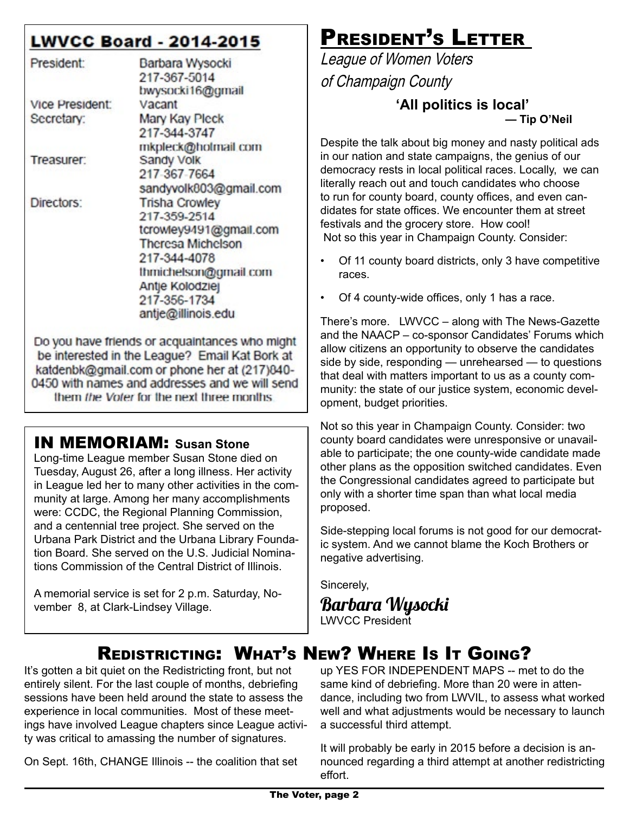### **LWVCC Board - 2014-2015**

| President:      | Barbara Wysocki          |  |  |
|-----------------|--------------------------|--|--|
|                 | 217-367-5014             |  |  |
|                 | bwysocki16@gmail         |  |  |
| Vice President: | Vacant                   |  |  |
| Secretary:      | Mary Kay Pleck           |  |  |
|                 | 217-344-3747             |  |  |
|                 | mkpleck@holmail.com      |  |  |
| Treasurer:      | Sandy Volk               |  |  |
|                 | 217-367-7664             |  |  |
|                 | sandyvolk803@gmail.com   |  |  |
| Directors:      | <b>Trisha Crowley</b>    |  |  |
|                 | 217-359-2514             |  |  |
|                 | tcrowley9491@gmail.com   |  |  |
|                 | <b>Theresa Michelson</b> |  |  |
|                 | 217-344-4078             |  |  |
|                 | thmichelson@gmail.com    |  |  |
|                 | Antje Kolodziej          |  |  |
|                 | 217-356-1734             |  |  |
|                 | antje@illinois.edu       |  |  |

Do you have friends or acquaintances who might be interested in the League? Email Kat Bork at katdenbk@gmail.com or phone her at (217)840-0450 with names and addresses and we will send them the Voter for the next three months

### IN MEMORIAM: **Susan Stone**

Long-time League member Susan Stone died on Tuesday, August 26, after a long illness. Her activity in League led her to many other activities in the community at large. Among her many accomplishments were: CCDC, the Regional Planning Commission, and a centennial tree project. She served on the Urbana Park District and the Urbana Library Foundation Board. She served on the U.S. Judicial Nominations Commission of the Central District of Illinois.

A memorial service is set for 2 p.m. Saturday, November 8, at Clark-Lindsey Village.

# PRESIDENT'S LETTER

League of Women Voters of Champaign County

**'All politics is local'— Tip O'Neil**

Despite the talk about big money and nasty political ads in our nation and state campaigns, the genius of our democracy rests in local political races. Locally, we can literally reach out and touch candidates who choose to run for county board, county offices, and even candidates for state offices. We encounter them at street festivals and the grocery store. How cool! Not so this year in Champaign County. Consider:

- Of 11 county board districts, only 3 have competitive races.
- Of 4 county-wide offices, only 1 has a race.

There's more. LWVCC – along with The News-Gazette and the NAACP – co-sponsor Candidates' Forums which allow citizens an opportunity to observe the candidates side by side, responding — unrehearsed — to questions that deal with matters important to us as a county community: the state of our justice system, economic development, budget priorities.

Not so this year in Champaign County. Consider: two county board candidates were unresponsive or unavailable to participate; the one county-wide candidate made other plans as the opposition switched candidates. Even the Congressional candidates agreed to participate but only with a shorter time span than what local media proposed.

Side-stepping local forums is not good for our democratic system. And we cannot blame the Koch Brothers or negative advertising.

Sincerely,

Barbara Wysocki LWVCC President

## Redistricting: What's New? Where Is It Going?

It's gotten a bit quiet on the Redistricting front, but not entirely silent. For the last couple of months, debriefing sessions have been held around the state to assess the experience in local communities. Most of these meetings have involved League chapters since League activity was critical to amassing the number of signatures.

On Sept. 16th, CHANGE Illinois -- the coalition that set

up YES FOR INDEPENDENT MAPS -- met to do the same kind of debriefing. More than 20 were in attendance, including two from LWVIL, to assess what worked well and what adjustments would be necessary to launch a successful third attempt.

It will probably be early in 2015 before a decision is announced regarding a third attempt at another redistricting effort.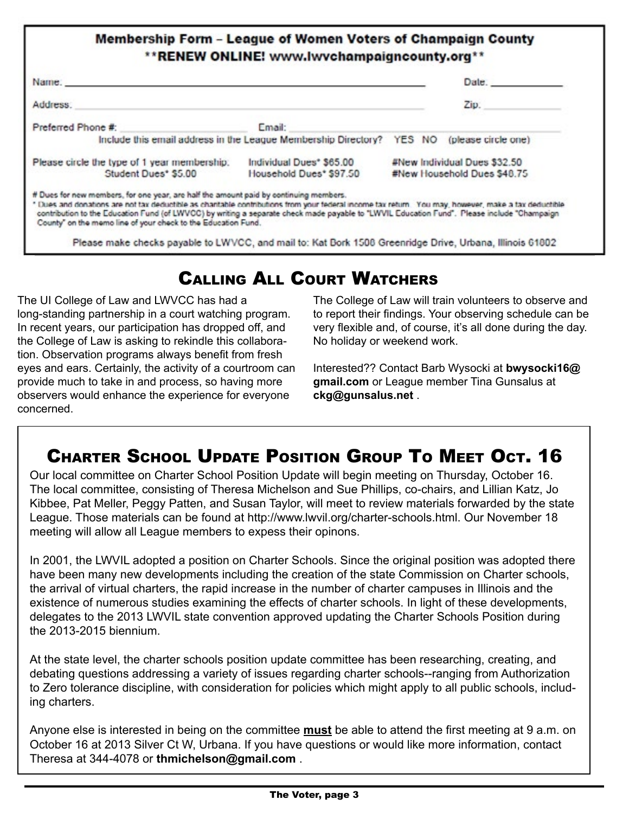### **Membership Form - League of Women Voters of Champaign County** \*\* RENEW ONLINE! www.lwychampaigncounty.org\*\*

| Name: Name: All and the state of the state of the state of the state of the state of the state of the state of the state of the state of the state of the state of the state of the state of the state of the state of the sta                                                                                                                                                                                                                                |                                                                                           |                                                             | Date. |  |
|---------------------------------------------------------------------------------------------------------------------------------------------------------------------------------------------------------------------------------------------------------------------------------------------------------------------------------------------------------------------------------------------------------------------------------------------------------------|-------------------------------------------------------------------------------------------|-------------------------------------------------------------|-------|--|
| Address.                                                                                                                                                                                                                                                                                                                                                                                                                                                      |                                                                                           | Zip.                                                        |       |  |
| Preferred Phone #:                                                                                                                                                                                                                                                                                                                                                                                                                                            | Email:                                                                                    |                                                             |       |  |
|                                                                                                                                                                                                                                                                                                                                                                                                                                                               | Include this email address in the League Membership Directory? YES NO (please circle one) |                                                             |       |  |
| Please circle the type of 1 year membership:<br>Student Dues* \$5.00                                                                                                                                                                                                                                                                                                                                                                                          | Individual Dues* \$65,00<br>Household Dues* \$97.50                                       | #New Individual Dues \$32.50<br>#New Household Dues \$48.75 |       |  |
| # Dues for new members, for one year, are half the amount paid by continuing members.<br>* Dues and donations are not tax deductible as charitable contributions from your federal income tax return. You may, however, make a tax deductible<br>contribution to the Education Fund (of LWVCC) by writing a separate check made payable to "LWVIL Education Fund". Please include "Champaign<br>County" on the memo line of your check to the Education Fund. |                                                                                           |                                                             |       |  |

## Calling All Court Watchers

The UI College of Law and LWVCC has had a long-standing partnership in a court watching program. In recent years, our participation has dropped off, and the College of Law is asking to rekindle this collaboration. Observation programs always benefit from fresh eyes and ears. Certainly, the activity of a courtroom can provide much to take in and process, so having more observers would enhance the experience for everyone concerned.

The College of Law will train volunteers to observe and to report their findings. Your observing schedule can be very flexible and, of course, it's all done during the day. No holiday or weekend work.

Interested?? Contact Barb Wysocki at **bwysocki16@ gmail.com** or League member Tina Gunsalus at **ckg@gunsalus.net** .

# Charter School Update Position Group To Meet Oct. 16

Our local committee on Charter School Position Update will begin meeting on Thursday, October 16. The local committee, consisting of Theresa Michelson and Sue Phillips, co-chairs, and Lillian Katz, Jo Kibbee, Pat Meller, Peggy Patten, and Susan Taylor, will meet to review materials forwarded by the state League. Those materials can be found at http://www.lwvil.org/charter-schools.html. Our November 18 meeting will allow all League members to expess their opinons.

In 2001, the LWVIL adopted a position on Charter Schools. Since the original position was adopted there have been many new developments including the creation of the state Commission on Charter schools, the arrival of virtual charters, the rapid increase in the number of charter campuses in Illinois and the existence of numerous studies examining the effects of charter schools. In light of these developments, delegates to the 2013 LWVIL state convention approved updating the Charter Schools Position during the 2013-2015 biennium.

At the state level, the charter schools position update committee has been researching, creating, and debating questions addressing a variety of issues regarding charter schools--ranging from Authorization to Zero tolerance discipline, with consideration for policies which might apply to all public schools, including charters.

Anyone else is interested in being on the committee **must** be able to attend the first meeting at 9 a.m. on October 16 at 2013 Silver Ct W, Urbana. If you have questions or would like more information, contact Theresa at 344-4078 or **thmichelson@gmail.com** .